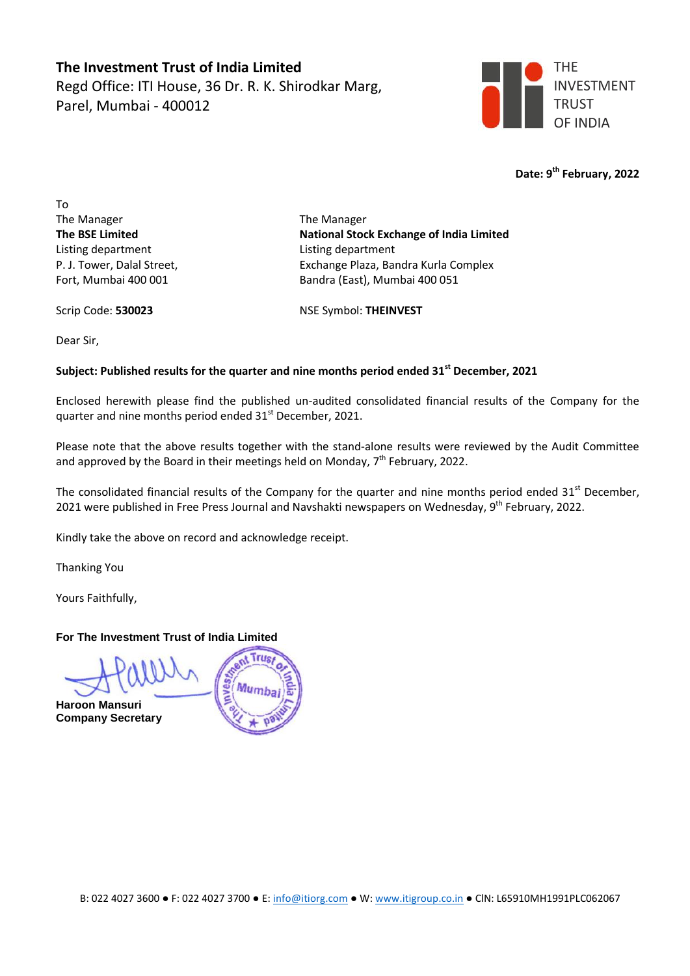**The Investment Trust of India Limited** Regd Office: ITI House, 36 Dr. R. K. Shirodkar Marg, Parel, Mumbai - 400012



**Date: 9 th February, 2022**

To The Manager The Manager Listing department Listing department

**The BSE Limited National Stock Exchange of India Limited** P. J. Tower, Dalal Street, Exchange Plaza, Bandra Kurla Complex Fort, Mumbai 400 001 Bandra (East), Mumbai 400 051

Scrip Code: **530023** NSE Symbol: **THEINVEST**

Dear Sir,

## **Subject: Published results for the quarter and nine months period ended 31 st December, 2021**

Enclosed herewith please find the published un-audited consolidated financial results of the Company for the quarter and nine months period ended 31<sup>st</sup> December, 2021.

Please note that the above results together with the stand-alone results were reviewed by the Audit Committee and approved by the Board in their meetings held on Monday,  $7<sup>th</sup>$  February, 2022.

The consolidated financial results of the Company for the quarter and nine months period ended 31<sup>st</sup> December, 2021 were published in Free Press Journal and Navshakti newspapers on Wednesday, 9<sup>th</sup> February, 2022.

Kindly take the above on record and acknowledge receipt.

Thanking You

Yours Faithfully,

## **For The Investment Trust of India Limited**

**Haroon Mansuri Company Secretary**

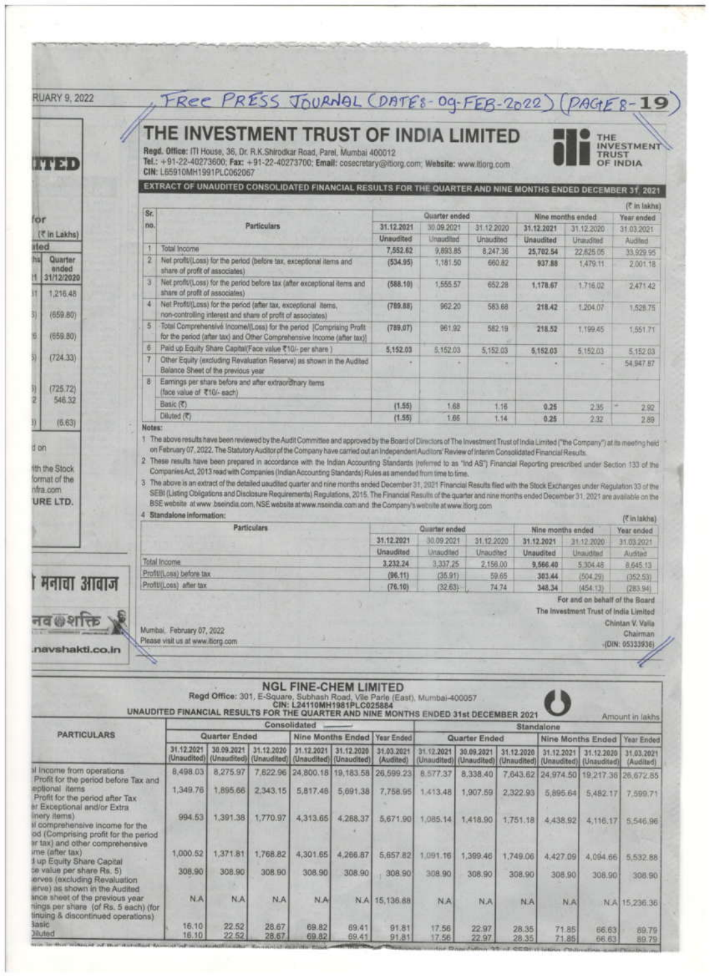|                                                                                                                                                                                                                                                                                                                                                                                                                                                                                                                                                    |                |                                                             |                      |                                     |                                                                                                                                                                                                                           |                | FREE PRESS JOURNAL (DATES-09-FEB-2022) (PAGES-19) |               |                                     |                   |                                        |                                      |
|----------------------------------------------------------------------------------------------------------------------------------------------------------------------------------------------------------------------------------------------------------------------------------------------------------------------------------------------------------------------------------------------------------------------------------------------------------------------------------------------------------------------------------------------------|----------------|-------------------------------------------------------------|----------------------|-------------------------------------|---------------------------------------------------------------------------------------------------------------------------------------------------------------------------------------------------------------------------|----------------|---------------------------------------------------|---------------|-------------------------------------|-------------------|----------------------------------------|--------------------------------------|
| <b>UUMI</b>                                                                                                                                                                                                                                                                                                                                                                                                                                                                                                                                        |                | CIN: L65910MH1991PLC062067                                  |                      |                                     | THE INVESTMENT TRUST OF INDIA LIMITED<br>Regd. Office: ITI House, 36, Dr. R.K.Shirodkar Road, Parel, Mumbai 400012<br>Tel.: +91-22-40273600; Fax: +91-22-40273700; Email: cosecretary@itiorg.com; Website: www.itiorg.com |                |                                                   |               |                                     |                   | THE<br>TRUST                           | <b>INVESTMENT</b><br><b>OF INDIA</b> |
|                                                                                                                                                                                                                                                                                                                                                                                                                                                                                                                                                    |                |                                                             |                      |                                     | EXTRACT OF UNAUDITED CONSOLIDATED FINANCIAL RESULTS FOR THE QUARTER AND NINE MONTHS ENDED DECEMBER 31, 2021.                                                                                                              |                |                                                   |               |                                     |                   |                                        |                                      |
|                                                                                                                                                                                                                                                                                                                                                                                                                                                                                                                                                    |                |                                                             |                      |                                     |                                                                                                                                                                                                                           |                |                                                   |               |                                     |                   | (C in lakhs)                           |                                      |
| or                                                                                                                                                                                                                                                                                                                                                                                                                                                                                                                                                 | Sr.            |                                                             |                      |                                     |                                                                                                                                                                                                                           |                | Quarter ended                                     |               |                                     | Nine months ended |                                        |                                      |
|                                                                                                                                                                                                                                                                                                                                                                                                                                                                                                                                                    | no.            |                                                             |                      | Particulars                         |                                                                                                                                                                                                                           | 31.12.2021     | 30.09.2021                                        | 31 12 2020    |                                     | 31.12.2021        | 31.12.2020                             | 31.03.2021                           |
| (そ in Lakhs)                                                                                                                                                                                                                                                                                                                                                                                                                                                                                                                                       |                |                                                             |                      |                                     |                                                                                                                                                                                                                           | Unaudited      | Unaudited                                         | Unaudited     |                                     | Unaudited         | Unaudited                              | Audited                              |
| tled                                                                                                                                                                                                                                                                                                                                                                                                                                                                                                                                               |                | Total Income                                                |                      |                                     |                                                                                                                                                                                                                           | 7,552.62       | 9,893.85                                          | 8,247.36      |                                     | 25,702.54         | 22.625.05                              | 33,929.95                            |
| hы<br>Quarter<br>anded                                                                                                                                                                                                                                                                                                                                                                                                                                                                                                                             | $\overline{2}$ |                                                             |                      |                                     | Net profit/(Loss) for the period (before tax, exceptional items and                                                                                                                                                       | (534.95)       | 1,181.50                                          |               | 660.82                              | 937.88            | 1,479.11.                              | 2.001.18                             |
| 31/12/2020                                                                                                                                                                                                                                                                                                                                                                                                                                                                                                                                         |                | share of profit of associates)                              |                      |                                     |                                                                                                                                                                                                                           |                |                                                   |               |                                     |                   |                                        |                                      |
|                                                                                                                                                                                                                                                                                                                                                                                                                                                                                                                                                    |                |                                                             |                      |                                     | Net profiv(Loss) for the period before tax (after exceptional items and                                                                                                                                                   | (588.10)       | 1,555.57                                          |               | 652.28                              | 1,178.67          | 1,716.02                               | 2.471.42                             |
| 1,215.48                                                                                                                                                                                                                                                                                                                                                                                                                                                                                                                                           | $\overline{4}$ | share of profit of associates)                              |                      |                                     |                                                                                                                                                                                                                           |                |                                                   |               |                                     |                   |                                        |                                      |
| (659.80)                                                                                                                                                                                                                                                                                                                                                                                                                                                                                                                                           |                | non-controlling interest and share of profit of associates) |                      |                                     | Net Profit/(Loss) for the period (after tax, exceptional items,                                                                                                                                                           | (789.88)       | 962.20                                            |               | 583.68                              | 218.42            | 1,204.07                               | 1,528.75                             |
|                                                                                                                                                                                                                                                                                                                                                                                                                                                                                                                                                    | $\overline{5}$ |                                                             |                      |                                     | Total Comprehensive Income/(Loss) for the period [Comprising Profit                                                                                                                                                       |                |                                                   |               |                                     |                   |                                        |                                      |
| (659.80)                                                                                                                                                                                                                                                                                                                                                                                                                                                                                                                                           |                |                                                             |                      |                                     | for the period (after tax) and Other Comprehensive Income (after tax))                                                                                                                                                    | (789.07)       | 961.92                                            |               | 582.19                              | 218.52            | 1,199.45                               | 1,551.71                             |
|                                                                                                                                                                                                                                                                                                                                                                                                                                                                                                                                                    | 香              | Paid up Equity Share Capital(Face value ₹10/- per share)    |                      |                                     |                                                                                                                                                                                                                           | 5,152.03       | 5.152.03                                          | 5,152.03      |                                     |                   |                                        |                                      |
| (724.33)                                                                                                                                                                                                                                                                                                                                                                                                                                                                                                                                           |                |                                                             |                      |                                     | Other Equity (excluding Revaluation Reserve) as shown in the Audited                                                                                                                                                      |                |                                                   |               |                                     | 5,152.03          | 5.152.03                               | 5.152.03                             |
|                                                                                                                                                                                                                                                                                                                                                                                                                                                                                                                                                    |                | Balance Sheet of the previous year                          |                      |                                     |                                                                                                                                                                                                                           |                |                                                   |               |                                     | ×                 |                                        | 54,947.87                            |
|                                                                                                                                                                                                                                                                                                                                                                                                                                                                                                                                                    | B.             | Earnings per share before and after extraordinary items.    |                      |                                     |                                                                                                                                                                                                                           |                |                                                   |               |                                     |                   |                                        |                                      |
| (725.72)                                                                                                                                                                                                                                                                                                                                                                                                                                                                                                                                           |                | (face value of ₹10/- each)                                  |                      |                                     |                                                                                                                                                                                                                           |                |                                                   |               |                                     |                   |                                        |                                      |
| 546.32                                                                                                                                                                                                                                                                                                                                                                                                                                                                                                                                             |                | Basic (₹)                                                   |                      |                                     |                                                                                                                                                                                                                           | (1.55)         | 1.68                                              |               | 1.16                                | 0.25              | 235                                    | 2.92                                 |
|                                                                                                                                                                                                                                                                                                                                                                                                                                                                                                                                                    |                | Diluted (C)                                                 |                      |                                     |                                                                                                                                                                                                                           | (1.55)         | 1.66                                              |               | 1.14                                | 0.25              | 2.32                                   | 2.89                                 |
| (6.63)                                                                                                                                                                                                                                                                                                                                                                                                                                                                                                                                             | Notes:         |                                                             |                      |                                     |                                                                                                                                                                                                                           |                |                                                   |               |                                     |                   |                                        |                                      |
|                                                                                                                                                                                                                                                                                                                                                                                                                                                                                                                                                    |                | 4 Standalone information:                                   |                      |                                     | BSE website at www.bseindia.com, NSE website at www.nseindia.com and the Company's website at www.borg.com                                                                                                                |                |                                                   |               |                                     |                   |                                        | (Cin lakha)                          |
|                                                                                                                                                                                                                                                                                                                                                                                                                                                                                                                                                    |                |                                                             |                      | <b>Particulars</b>                  |                                                                                                                                                                                                                           |                | Quarter ended                                     |               |                                     | Nine months ended |                                        | Year ended                           |
|                                                                                                                                                                                                                                                                                                                                                                                                                                                                                                                                                    |                |                                                             |                      |                                     |                                                                                                                                                                                                                           | 31.12.2021     | 30.09.2021                                        | 31.12.2020    |                                     | 31.12.2021        | 31.12.2020                             | 31.03.2021                           |
|                                                                                                                                                                                                                                                                                                                                                                                                                                                                                                                                                    |                |                                                             |                      |                                     |                                                                                                                                                                                                                           | Unaudited      | <b>Unaudited</b>                                  | Unaudited     |                                     | <b>Unaudited</b>  | Unaudited                              | Audited                              |
|                                                                                                                                                                                                                                                                                                                                                                                                                                                                                                                                                    |                | Total Income                                                |                      |                                     |                                                                                                                                                                                                                           |                | 3,337,25                                          | 2,156.00      |                                     | 9,566.40          | 5,304.48                               | 8,645.13                             |
|                                                                                                                                                                                                                                                                                                                                                                                                                                                                                                                                                    |                | Profit/(Loss) before tax                                    |                      |                                     |                                                                                                                                                                                                                           | (96.11)        | (35.91)                                           |               | 59.65                               | 303.44            | (504.29)                               | (352.53)                             |
| मनाचा आवाज                                                                                                                                                                                                                                                                                                                                                                                                                                                                                                                                         |                | Profit/(Loss) after tax                                     |                      |                                     |                                                                                                                                                                                                                           | (76.10)        | (32.63)                                           |               | 74.74                               | 348.34            | (454:13)                               | (283.94)                             |
|                                                                                                                                                                                                                                                                                                                                                                                                                                                                                                                                                    |                |                                                             |                      |                                     |                                                                                                                                                                                                                           |                |                                                   |               |                                     |                   | For and on behalf of the Board         |                                      |
|                                                                                                                                                                                                                                                                                                                                                                                                                                                                                                                                                    |                |                                                             |                      |                                     |                                                                                                                                                                                                                           |                |                                                   |               |                                     |                   | The Investment Trust of India Limited  |                                      |
|                                                                                                                                                                                                                                                                                                                                                                                                                                                                                                                                                    |                |                                                             |                      |                                     |                                                                                                                                                                                                                           |                |                                                   |               |                                     |                   |                                        |                                      |
|                                                                                                                                                                                                                                                                                                                                                                                                                                                                                                                                                    |                |                                                             |                      |                                     |                                                                                                                                                                                                                           |                |                                                   |               |                                     |                   |                                        | Chintan V. Valia                     |
|                                                                                                                                                                                                                                                                                                                                                                                                                                                                                                                                                    |                | Mumbai, February 07, 2022                                   |                      |                                     |                                                                                                                                                                                                                           |                |                                                   |               |                                     |                   |                                        | Chairman                             |
|                                                                                                                                                                                                                                                                                                                                                                                                                                                                                                                                                    |                | Please visit us at www.itiong.com                           |                      |                                     |                                                                                                                                                                                                                           |                |                                                   |               |                                     |                   |                                        | (DIN: 05333936)                      |
|                                                                                                                                                                                                                                                                                                                                                                                                                                                                                                                                                    |                |                                                             |                      |                                     |                                                                                                                                                                                                                           |                |                                                   |               |                                     |                   |                                        |                                      |
| navshakti.co.in                                                                                                                                                                                                                                                                                                                                                                                                                                                                                                                                    |                |                                                             |                      |                                     |                                                                                                                                                                                                                           |                |                                                   |               |                                     |                   |                                        |                                      |
|                                                                                                                                                                                                                                                                                                                                                                                                                                                                                                                                                    |                |                                                             |                      |                                     | <b>NGL FINE-CHEM LIMITED</b>                                                                                                                                                                                              |                |                                                   |               |                                     |                   |                                        |                                      |
|                                                                                                                                                                                                                                                                                                                                                                                                                                                                                                                                                    |                |                                                             |                      |                                     | Regd Office: 301, E-Square, Subhash Road, Vile Parle (East), Mumbai-400057<br>CIN: L24110MH1981PLC025884                                                                                                                  |                |                                                   |               |                                     |                   |                                        |                                      |
|                                                                                                                                                                                                                                                                                                                                                                                                                                                                                                                                                    |                |                                                             |                      |                                     | UNAUDITED FINANCIAL RESULTS FOR THE QUARTER AND NINE MONTHS ENDED 31st DECEMBER 2021                                                                                                                                      |                |                                                   |               |                                     |                   |                                        | Amount in lakhs                      |
|                                                                                                                                                                                                                                                                                                                                                                                                                                                                                                                                                    |                |                                                             |                      | Consolidated                        |                                                                                                                                                                                                                           |                |                                                   |               |                                     | Standalone        |                                        |                                      |
| <b><i>PARTICULARS</i></b>                                                                                                                                                                                                                                                                                                                                                                                                                                                                                                                          |                |                                                             | <b>Quarter Ended</b> |                                     | Nine Months Ended   Year Ended                                                                                                                                                                                            |                |                                                   | Quarter Ended |                                     |                   | Nine Months Ended                      | Year Ended                           |
|                                                                                                                                                                                                                                                                                                                                                                                                                                                                                                                                                    |                | 31.12.2021                                                  | 30.09.2021           | 31.12.2020                          | 31.12.2021 31.12.2020                                                                                                                                                                                                     | 31.03.2021     | 31.12.2021                                        | 30.09.2021    | 31.12.2020                          | 31.12.2021        | 31.12.2020                             | 31.03.2021                           |
|                                                                                                                                                                                                                                                                                                                                                                                                                                                                                                                                                    |                |                                                             |                      | (Unaudited) (Unaudited) (Unaudited) | (Unaudited) (Unaudited) (Audited)                                                                                                                                                                                         |                |                                                   |               | (Unaudited) (Unaudited) (Unaudited) | (Unaudited)       |                                        | (Unaudited) (Audited)                |
|                                                                                                                                                                                                                                                                                                                                                                                                                                                                                                                                                    |                | 8,498.03                                                    | 8,275.97             | 7,622.96                            | 24,800.18 19,183.58 26,599.23                                                                                                                                                                                             |                | 8.577.37                                          | 8,338.40      |                                     |                   | 7.643.62 24.974.50 19.217.36 26,672.85 |                                      |
|                                                                                                                                                                                                                                                                                                                                                                                                                                                                                                                                                    |                | 1,349.761                                                   | 1,895.66             |                                     |                                                                                                                                                                                                                           |                |                                                   |               |                                     |                   |                                        |                                      |
|                                                                                                                                                                                                                                                                                                                                                                                                                                                                                                                                                    |                |                                                             |                      | 2,343,15                            | 5,817,48<br>5,691.38                                                                                                                                                                                                      |                | 7,758.95 1,413.48                                 | 1,907.59      | 2,322.93                            | 5,895.64          |                                        | 5,482.17 7,599.71                    |
|                                                                                                                                                                                                                                                                                                                                                                                                                                                                                                                                                    |                |                                                             |                      |                                     |                                                                                                                                                                                                                           |                |                                                   |               |                                     |                   |                                        |                                      |
|                                                                                                                                                                                                                                                                                                                                                                                                                                                                                                                                                    |                | 994.53                                                      | 1,391.38             | 1,770.97                            | 4,313.65<br>4,268.37                                                                                                                                                                                                      |                | 5,671.90 1,085.14                                 | 1,418.90      | 1,751,18                            | 4,438.92          | 4.116.17                               |                                      |
|                                                                                                                                                                                                                                                                                                                                                                                                                                                                                                                                                    |                |                                                             |                      |                                     |                                                                                                                                                                                                                           |                |                                                   |               |                                     |                   |                                        |                                      |
|                                                                                                                                                                                                                                                                                                                                                                                                                                                                                                                                                    |                |                                                             |                      |                                     |                                                                                                                                                                                                                           |                |                                                   |               |                                     |                   |                                        |                                      |
|                                                                                                                                                                                                                                                                                                                                                                                                                                                                                                                                                    |                | 1,000.52                                                    | 1,371.81             | 1,768.82                            | 4,301.65<br>4,266.87                                                                                                                                                                                                      |                | 5,657.82 1,091.16                                 | 1,399.46      | 1,749.06                            | 4,427.09          |                                        |                                      |
|                                                                                                                                                                                                                                                                                                                                                                                                                                                                                                                                                    |                |                                                             |                      |                                     |                                                                                                                                                                                                                           |                |                                                   |               |                                     |                   |                                        | 5,546.96<br>4,094.66 5,532.88        |
|                                                                                                                                                                                                                                                                                                                                                                                                                                                                                                                                                    |                | 308.90                                                      | 308.90               | 308.90                              | 308.90<br>308.90                                                                                                                                                                                                          | 308 90         | 308.90                                            | 308.90        | 308.90                              | 308,90            | 308.90                                 | 308.90                               |
|                                                                                                                                                                                                                                                                                                                                                                                                                                                                                                                                                    |                |                                                             |                      |                                     |                                                                                                                                                                                                                           |                |                                                   |               |                                     |                   |                                        |                                      |
|                                                                                                                                                                                                                                                                                                                                                                                                                                                                                                                                                    |                | <b>NA</b>                                                   | <b>N.A</b>           | N.A                                 | N.A.                                                                                                                                                                                                                      | N.A 15, 136.88 | N.A.                                              | N.A           | N.A                                 | N.A               |                                        | N.A 15,236.35                        |
| il income from operations.<br>Profit for the period before Tax and<br>eptional items<br>Profit for the period after Tax<br>er Exceptional and/or Extra<br>nery items)<br>il comprehensive income for the<br>od (Comprising profit for the period<br>ir tax) and other comprehensive<br>me (after tax)<br>I up Equity Share Capital<br>te value per share Rs. 5)<br>erves (excluding Revaluation<br>erve) as shown in the Audited<br>ance sheet of the previous year.<br>hings per share (of Rs. 5 each) (for<br>tinuing & discontinued operations) |                |                                                             |                      |                                     |                                                                                                                                                                                                                           |                |                                                   |               |                                     |                   |                                        |                                      |

 $16.10$ <br> $16.10$ 

**Diluted** 

22.52<br>22.52

28.67

69.82

69.41

91.81

17.56

22.97<br>22.97

28.35

71.85

66.63

89.79<br>89.79